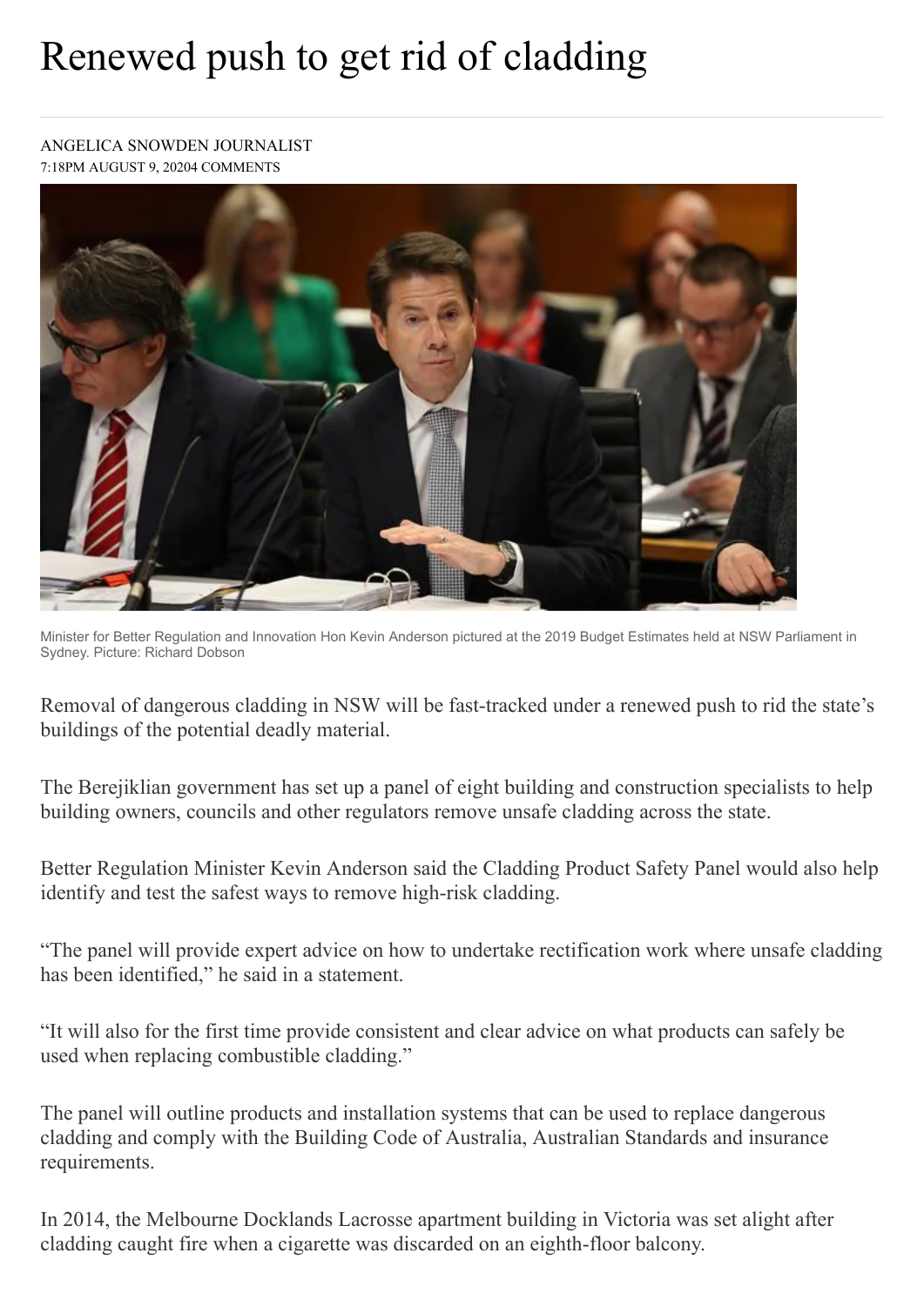## Renewed push to get rid of cladding

## [ANGELICA SNOWDEN](https://www.theaustralian.com.au/author/Angelica+Snowden) JOURNALIST 7:18PM AUGUST 9, 20204 [COMMENTS](https://www.theaustralian.com.au/nation/renewed-push-to-get-rid-of-cladding/news-story/0cb22464ad7d7ce5f6b549416da88161#coral)



Minister for Better Regulation and Innovation Hon Kevin Anderson pictured at the 2019 Budget Estimates held at NSW Parliament in Sydney. Picture: Richard Dobson

Removal of dangerous cladding in NSW will be fast-tracked under a renewed push to rid the state's buildings of the potential deadly material.

The Berejiklian government has set up a panel of eight building and construction specialists to help building owners, councils and other regulators remove unsafe cladding across the state.

Better Regulation Minister Kevin Anderson said the Cladding Product Safety Panel would also help identify and test the safest ways to remove high-risk cladding.

"The panel will provide expert advice on how to undertake rectification work where unsafe cladding has been identified," he said in a statement.

"It will also for the first time provide consistent and clear advice on what products can safely be used when replacing combustible cladding."

The panel will outline products and installation systems that can be used to replace dangerous cladding and comply with the Building Code of Australia, Australian Standards and insurance requirements.

In 2014, the Melbourne Docklands Lacrosse apartment building in Victoria was set alight after cladding caught fire when a cigarette was discarded on an eighth-floor balcony.